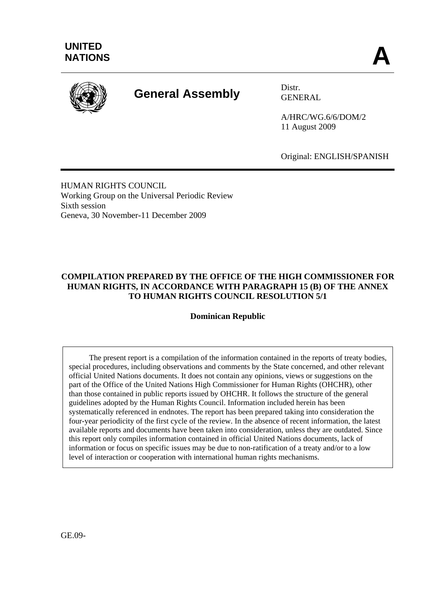

# **General Assembly** Distr.

GENERAL

A/HRC/WG.6/6/DOM/2 11 August 2009

Original: ENGLISH/SPANISH

HUMAN RIGHTS COUNCIL Working Group on the Universal Periodic Review Sixth session Geneva, 30 November-11 December 2009

## **COMPILATION PREPARED BY THE OFFICE OF THE HIGH COMMISSIONER FOR HUMAN RIGHTS, IN ACCORDANCE WITH PARAGRAPH 15 (B) OF THE ANNEX TO HUMAN RIGHTS COUNCIL RESOLUTION 5/1**

**Dominican Republic** 

 The present report is a compilation of the information contained in the reports of treaty bodies, special procedures, including observations and comments by the State concerned, and other relevant official United Nations documents. It does not contain any opinions, views or suggestions on the part of the Office of the United Nations High Commissioner for Human Rights (OHCHR), other than those contained in public reports issued by OHCHR. It follows the structure of the general guidelines adopted by the Human Rights Council. Information included herein has been systematically referenced in endnotes. The report has been prepared taking into consideration the four-year periodicity of the first cycle of the review. In the absence of recent information, the latest available reports and documents have been taken into consideration, unless they are outdated. Since this report only compiles information contained in official United Nations documents, lack of information or focus on specific issues may be due to non-ratification of a treaty and/or to a low level of interaction or cooperation with international human rights mechanisms.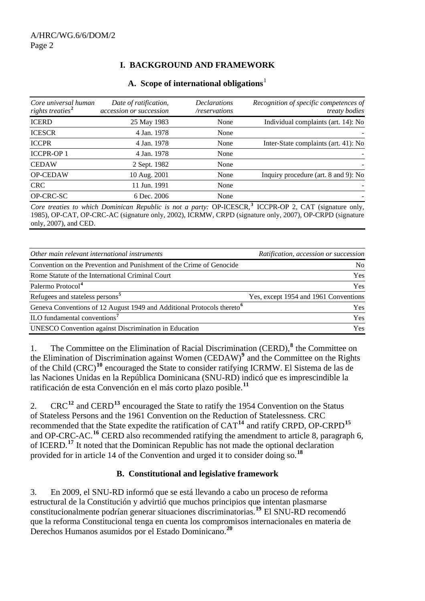# **I. BACKGROUND AND FRAMEWORK**

| Core universal human<br>rights treaties <sup>2</sup> | Date of ratification,<br>accession or succession | <b>Declarations</b><br>/reservations | Recognition of specific competences of<br><i>treaty bodies</i> |
|------------------------------------------------------|--------------------------------------------------|--------------------------------------|----------------------------------------------------------------|
| <b>ICERD</b>                                         | 25 May 1983                                      | None                                 | Individual complaints (art. 14): No                            |
| <b>ICESCR</b>                                        | 4 Jan. 1978                                      | None                                 |                                                                |
| <b>ICCPR</b>                                         | 4 Jan. 1978                                      | None                                 | Inter-State complaints (art. 41): No                           |
| <b>ICCPR-OP1</b>                                     | 4 Jan. 1978                                      | None                                 |                                                                |
| <b>CEDAW</b>                                         | 2 Sept. 1982                                     | None                                 |                                                                |
| <b>OP-CEDAW</b>                                      | 10 Aug. 2001                                     | None                                 | Inquiry procedure (art. 8 and 9): No                           |
| <b>CRC</b>                                           | 11 Jun. 1991                                     | None                                 |                                                                |
| OP-CRC-SC                                            | 6 Dec. 2006                                      | None                                 |                                                                |

Core treaties to which Dominican Republic is not a party: OP-ICESCR,<sup>[3](#page-14-0)</sup> ICCPR-OP 2, CAT (signature only, 1985), OP-CAT, OP-CRC-AC (signature only, 2002), ICRMW, CRPD (signature only, 2007), OP-CRPD (signature only, 2007), and CED.

| Other main relevant international instruments                                      | Ratification, accession or succession |
|------------------------------------------------------------------------------------|---------------------------------------|
| Convention on the Prevention and Punishment of the Crime of Genocide               | No.                                   |
| Rome Statute of the International Criminal Court                                   | <b>Yes</b>                            |
| Palermo Protocol <sup>4</sup>                                                      | <b>Yes</b>                            |
| Refugees and stateless persons <sup>5</sup>                                        | Yes, except 1954 and 1961 Conventions |
| Geneva Conventions of 12 August 1949 and Additional Protocols thereto <sup>6</sup> | Yes                                   |
| ILO fundamental conventions <sup>7</sup>                                           | <b>Yes</b>                            |
| <b>UNESCO</b> Convention against Discrimination in Education                       | Yes                                   |

1. The Committee on the Elimination of Racial Discrimination (CERD),<sup>[8](#page-14-0)</sup> the Committee on the Elimination of Discrimination against Women (CEDAW)**[9](#page-14-0)** and the Committee on the Rights of the Child (CRC)**[10](#page-14-0)** encouraged the State to consider ratifying ICRMW. El Sistema de las de las Naciones Unidas en la República Dominicana (SNU-RD) indicó que es imprescindible la ratificación de esta Convención en el más corto plazo posible.**[11](#page-14-0)**

2. CRC**[12](#page-14-0)** and CERD**[13](#page-14-0)** encouraged the State to ratify the 1954 Convention on the Status of Stateless Persons and the 1961 Convention on the Reduction of Statelessness. CRC recommended that the State expedite the ratification of CAT**[14](#page-14-0)** and ratify CRPD, OP-CRPD**[15](#page-14-0)** and OP-CRC-AC.**[16](#page-14-0)** CERD also recommended ratifying the amendment to article 8, paragraph 6, of ICERD.**[17](#page-14-0)** It noted that the Dominican Republic has not made the optional declaration provided for in article 14 of the Convention and urged it to consider doing so.**[18](#page-14-0)**

## **B. Constitutional and legislative framework**

3. En 2009, el SNU-RD informó que se está llevando a cabo un proceso de reforma estructural de la Constitución y advirtió que muchos principios que intentan plasmarse constitucionalmente podrían generar situaciones discriminatorias.**[19](#page-14-0)** El SNU-RD recomendó que la reforma Constitucional tenga en cuenta los compromisos internacionales en materia de Derechos Humanos asumidos por el Estado Dominicano.**[20](#page-14-0)**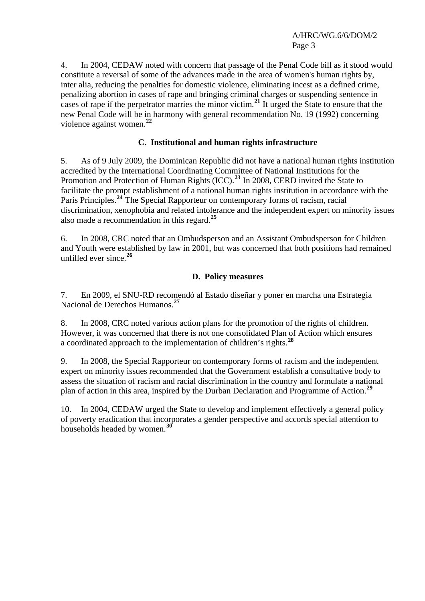4. In 2004, CEDAW noted with concern that passage of the Penal Code bill as it stood would constitute a reversal of some of the advances made in the area of women's human rights by, inter alia, reducing the penalties for domestic violence, eliminating incest as a defined crime, penalizing abortion in cases of rape and bringing criminal charges or suspending sentence in cases of rape if the perpetrator marries the minor victim.**[21](#page-14-0)** It urged the State to ensure that the new Penal Code will be in harmony with general recommendation No. 19 (1992) concerning violence against women.**[22](#page-14-0)**

## **C. Institutional and human rights infrastructure**

5. As of 9 July 2009, the Dominican Republic did not have a national human rights institution accredited by the International Coordinating Committee of National Institutions for the Promotion and Protection of Human Rights (ICC).**[23](#page-14-0)** In 2008, CERD invited the State to facilitate the prompt establishment of a national human rights institution in accordance with the Paris Principles.**[24](#page-14-0)** The Special Rapporteur on contemporary forms of [racism,](http://www2.ohchr.org/english/issues/racism/rapporteur/index.htm) racial discrimination, xenophobia and related intolerance and the independent expert on [minority issues](http://www2.ohchr.org/english/issues/minorities/expert/index.htm) also made a recommendation in this regard.**[25](#page-14-0)**

6. In 2008, CRC noted that an Ombudsperson and an Assistant Ombudsperson for Children and Youth were established by law in 2001, but was concerned that both positions had remained unfilled ever since.**[26](#page-14-0)**

## **D. Policy measures**

7. En 2009, el SNU-RD recomendó al Estado diseñar y poner en marcha una Estrategia Nacional de Derechos Humanos.**[27](#page-14-0)**

8. In 2008, CRC noted various action plans for the promotion of the rights of children. However, it was concerned that there is not one consolidated Plan of Action which ensures a coordinated approach to the implementation of children's rights.**[28](#page-15-0)**

9. In 2008, the Special Rapporteur on contemporary forms of [racism](http://www2.ohchr.org/english/issues/racism/rapporteur/index.htm) and the independent expert on [minority issues](http://www2.ohchr.org/english/issues/minorities/expert/index.htm) recommended that the Government establish a consultative body to assess the situation of racism and racial discrimination in the country and formulate a national plan of action in this area, inspired by the Durban Declaration and Programme of Action.**[29](#page-15-0)**

10. In 2004, CEDAW urged the State to develop and implement effectively a general policy of poverty eradication that incorporates a gender perspective and accords special attention to households headed by women.**[30](#page-15-0)**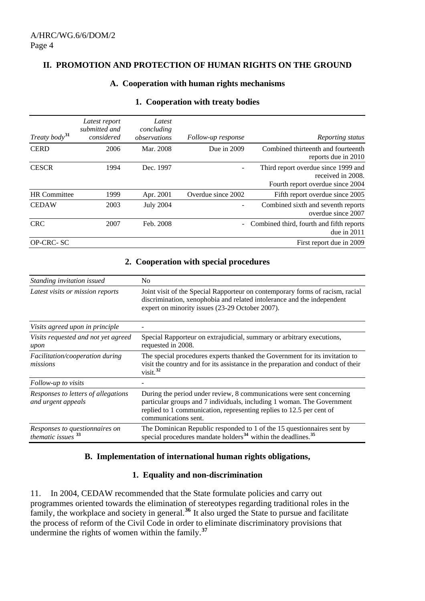#### **II. PROMOTION AND PROTECTION OF HUMAN RIGHTS ON THE GROUND**

#### **A. Cooperation with human rights mechanisms**

| Treaty body <sup>31</sup> | Latest report<br>submitted and<br>considered | Latest<br>concluding<br>observations | Follow-up response       | Reporting status                                                                             |
|---------------------------|----------------------------------------------|--------------------------------------|--------------------------|----------------------------------------------------------------------------------------------|
| <b>CERD</b>               | 2006                                         | Mar. 2008                            | Due in $2009$            | Combined thirteenth and fourteenth<br>reports due in 2010                                    |
| <b>CESCR</b>              | 1994                                         | Dec. 1997                            |                          | Third report overdue since 1999 and<br>received in 2008.<br>Fourth report overdue since 2004 |
| <b>HR</b> Committee       | 1999                                         | Apr. 2001                            | Overdue since 2002       | Fifth report overdue since 2005                                                              |
| <b>CEDAW</b>              | 2003                                         | <b>July 2004</b>                     |                          | Combined sixth and seventh reports<br>overdue since 2007                                     |
| <b>CRC</b>                | 2007                                         | Feb. 2008                            | $\overline{\phantom{a}}$ | Combined third, fourth and fifth reports<br>due in $2011$                                    |
| OP-CRC-SC                 |                                              |                                      |                          | First report due in 2009                                                                     |

#### **1. Cooperation with treaty bodies**

#### **2. Cooperation with special procedures**

| Standing invitation issued                                | N <sub>0</sub>                                                                                                                                                                                                                                  |
|-----------------------------------------------------------|-------------------------------------------------------------------------------------------------------------------------------------------------------------------------------------------------------------------------------------------------|
| Latest visits or mission reports                          | Joint visit of the Special Rapporteur on contemporary forms of racism, racial<br>discrimination, xenophobia and related intolerance and the independent<br>expert on minority issues (23-29 October 2007).                                      |
| Visits agreed upon in principle                           |                                                                                                                                                                                                                                                 |
| Visits requested and not yet agreed<br>upon               | Special Rapporteur on extrajudicial, summary or arbitrary executions,<br>requested in 2008.                                                                                                                                                     |
| Facilitation/cooperation during<br>missions               | The special procedures experts thanked the Government for its invitation to<br>visit the country and for its assistance in the preparation and conduct of their<br>visit. $32$                                                                  |
| Follow-up to visits                                       |                                                                                                                                                                                                                                                 |
| Responses to letters of allegations<br>and urgent appeals | During the period under review, 8 communications were sent concerning<br>particular groups and 7 individuals, including 1 woman. The Government<br>replied to 1 communication, representing replies to 12.5 per cent of<br>communications sent. |
| Responses to questionnaires on<br>thematic issues $33$    | The Dominican Republic responded to 1 of the 15 questionnaires sent by<br>special procedures mandate holders <sup>34</sup> within the deadlines. <sup>35</sup>                                                                                  |

## **B. Implementation of international human rights obligations,**

#### **1. Equality and non-discrimination**

11. In 2004, CEDAW recommended that the State formulate policies and carry out programmes oriented towards the elimination of stereotypes regarding traditional roles in the family, the workplace and society in general.<sup>[36](#page-15-0)</sup> It also urged the State to pursue and facilitate the process of reform of the Civil Code in order to eliminate discriminatory provisions that undermine the rights of women within the family.**[37](#page-15-0)**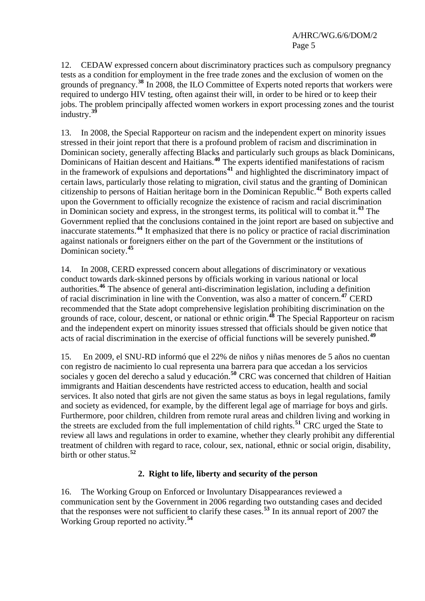12. CEDAW expressed concern about discriminatory practices such as compulsory pregnancy tests as a condition for employment in the free trade zones and the exclusion of women on the grounds of pregnancy.**[38](#page-15-0)** In 2008, the ILO Committee of Experts noted reports that workers were required to undergo HIV testing, often against their will, in order to be hired or to keep their jobs. The problem principally affected women workers in export processing zones and the tourist industry.<sup>3</sup>

13. In 2008, the Special Rapporteur on racism and the independent expert on minority issues stressed in their joint report that there is a profound problem of racism and discrimination in Dominican society, generally affecting Blacks and particularly such groups as black Dominicans, Dominicans of Haitian descent and Haitians.**[40](#page-15-0)** The experts identified manifestations of racism in the framework of expulsions and deportations**[41](#page-15-0)** and highlighted the discriminatory impact of certain laws, particularly those relating to migration, civil status and the granting of Dominican citizenship to persons of Haitian heritage born in the Dominican Republic.**[42](#page-15-0)** Both experts called upon the Government to officially recognize the existence of racism and racial discrimination in Dominican society and express, in the strongest terms, its political will to combat it.**[43](#page-16-0)** The Government replied that the conclusions contained in the joint report are based on subjective and inaccurate statements.**[44](#page-16-0)** It emphasized that there is no policy or practice of racial discrimination against nationals or foreigners either on the part of the Government or the institutions of Dominican society.**[45](#page-16-0)**

14. In 2008, CERD expressed concern about allegations of discriminatory or vexatious conduct towards dark-skinned persons by officials working in various national or local authorities.**[46](#page-16-0)** The absence of general anti-discrimination legislation, including a definition of racial discrimination in line with the Convention, was also a matter of concern.**[47](#page-16-0)** CERD recommended that the State adopt comprehensive legislation prohibiting discrimination on the grounds of race, colour, descent, or national or ethnic origin.**[48](#page-16-0)** The Special Rapporteur on racism and the independent expert on minority issues stressed that officials should be given notice that acts of racial discrimination in the exercise of official functions will be severely punished.**[49](#page-16-0)**

15. En 2009, el SNU-RD informó que el 22% de niños y niñas menores de 5 años no cuentan con registro de nacimiento lo cual representa una barrera para que accedan a los servicios sociales y gocen del derecho a salud y educación.<sup>[50](#page-16-0)</sup> CRC was concerned that children of Haitian immigrants and Haitian descendents have restricted access to education, health and social services. It also noted that girls are not given the same status as boys in legal regulations, family and society as evidenced, for example, by the different legal age of marriage for boys and girls. Furthermore, poor children, children from remote rural areas and children living and working in the streets are excluded from the full implementation of child rights.**[51](#page-16-0)** CRC urged the State to review all laws and regulations in order to examine, whether they clearly prohibit any differential treatment of children with regard to race, colour, sex, national, ethnic or social origin, disability, birth or other status.**[52](#page-16-0)**

# **2. Right to life, liberty and security of the person**

16. The Working Group on Enforced or Involuntary Disappearances reviewed a communication sent by the Government in 2006 regarding two outstanding cases and decided that the responses were not sufficient to clarify these cases.**[53](#page-16-0)** In its annual report of 2007 the Working Group reported no activity.**[54](#page-16-0)**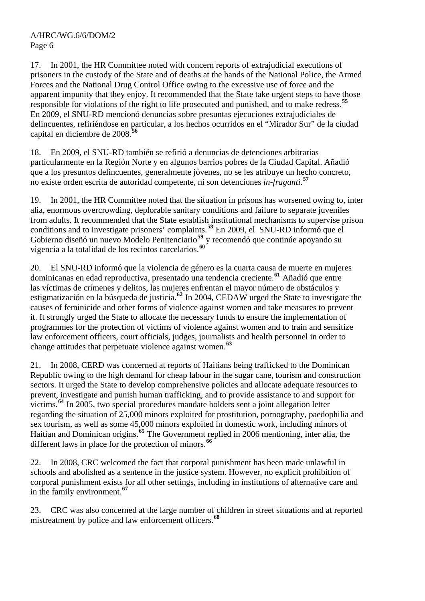17. In 2001, the HR Committee noted with concern reports of extrajudicial executions of prisoners in the custody of the State and of deaths at the hands of the National Police, the Armed Forces and the National Drug Control Office owing to the excessive use of force and the apparent impunity that they enjoy. It recommended that the State take urgent steps to have those responsible for violations of the right to life prosecuted and punished, and to make redress.**[55](#page-16-0)** En 2009, el SNU-RD mencionó denuncias sobre presuntas ejecuciones extrajudiciales de delincuentes, refiriéndose en particular, a los hechos ocurridos en el "Mirador Sur" de la ciudad capital en diciembre de 2008.**[56](#page-16-0)**

18. En 2009, el SNU-RD también se refirió a denuncias de detenciones arbitrarias particularmente en la Región Norte y en algunos barrios pobres de la Ciudad Capital. Añadió que a los presuntos delincuentes, generalmente jóvenes, no se les atribuye un hecho concreto, no existe orden escrita de autoridad competente, ni son detenciones *in-fraganti*. **[57](#page-16-0)**

19. In 2001, the HR Committee noted that the situation in prisons has worsened owing to, inter alia, enormous overcrowding, deplorable sanitary conditions and failure to separate juveniles from adults. It recommended that the State establish institutional mechanisms to supervise prison conditions and to investigate prisoners' complaints.**[58](#page-16-0)** En 2009, el SNU-RD informó que el Gobierno diseñó un nuevo Modelo Penitenciario**[59](#page-16-0)** y recomendó que continúe apoyando su vigencia a la totalidad de los recintos carcelarios.**[60](#page-16-0)**

20. El SNU-RD informó que la violencia de género es la cuarta causa de muerte en mujeres dominicanas en edad reproductiva, presentado una tendencia creciente.**[61](#page-16-0)** Añadió que entre las víctimas de crímenes y delitos, las mujeres enfrentan el mayor número de obstáculos y estigmatización en la búsqueda de justicia.**[62](#page-16-0)** In 2004, CEDAW urged the State to investigate the causes of feminicide and other forms of violence against women and take measures to prevent it. It strongly urged the State to allocate the necessary funds to ensure the implementation of programmes for the protection of victims of violence against women and to train and sensitize law enforcement officers, court officials, judges, journalists and health personnel in order to change attitudes that perpetuate violence against women.**[63](#page-16-0)**

21. In 2008, CERD was concerned at reports of Haitians being trafficked to the Dominican Republic owing to the high demand for cheap labour in the sugar cane, tourism and construction sectors. It urged the State to develop comprehensive policies and allocate adequate resources to prevent, investigate and punish human trafficking, and to provide assistance to and support for victims.**[64](#page-16-0)** In 2005, two special procedures mandate holders sent a joint allegation letter regarding the situation of 25,000 minors exploited for prostitution, pornography, paedophilia and sex tourism, as well as some 45,000 minors exploited in domestic work, including minors of Haitian and Dominican origins.**[65](#page-16-0)** The Government replied in 2006 mentioning, inter alia, the different laws in place for the protection of minors.<sup>[66](#page-16-0)</sup>

22. In 2008, CRC welcomed the fact that corporal punishment has been made unlawful in schools and abolished as a sentence in the justice system. However, no explicit prohibition of corporal punishment exists for all other settings, including in institutions of alternative care and in the family environment.**[67](#page-16-0)**

23. CRC was also concerned at the large number of children in street situations and at reported mistreatment by police and law enforcement officers.**[68](#page-16-0)**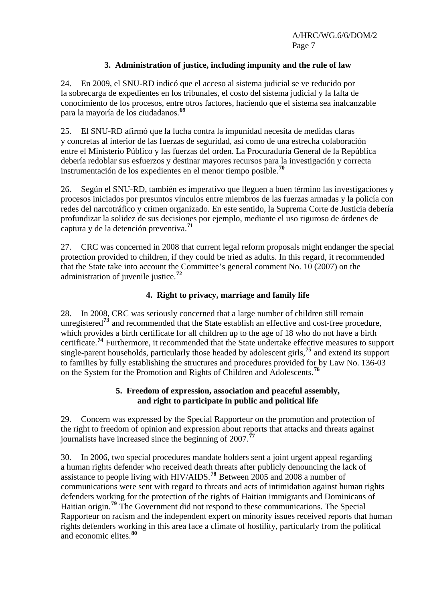## **3. Administration of justice, including impunity and the rule of law**

24. En 2009, el SNU-RD indicó que el acceso al sistema judicial se ve reducido por la sobrecarga de expedientes en los tribunales, el costo del sistema judicial y la falta de conocimiento de los procesos, entre otros factores, haciendo que el sistema sea inalcanzable para la mayoría de los ciudadanos.**[69](#page-16-0)**

25. El SNU-RD afirmó que la lucha contra la impunidad necesita de medidas claras y concretas al interior de las fuerzas de seguridad, así como de una estrecha colaboración entre el Ministerio Público y las fuerzas del orden. La Procuraduría General de la República debería redoblar sus esfuerzos y destinar mayores recursos para la investigación y correcta instrumentación de los expedientes en el menor tiempo posible.**[70](#page-16-0)**

26. Según el SNU-RD, también es imperativo que lleguen a buen término las investigaciones y procesos iniciados por presuntos vínculos entre miembros de las fuerzas armadas y la policía con redes del narcotráfico y crimen organizado. En este sentido, la Suprema Corte de Justicia debería profundizar la solidez de sus decisiones por ejemplo, mediante el uso riguroso de órdenes de captura y de la detención preventiva.**[71](#page-16-0)**

27. CRC was concerned in 2008 that current legal reform proposals might endanger the special protection provided to children, if they could be tried as adults. In this regard, it recommended that the State take into account the Committee's general comment No. 10 (2007) on the administration of juvenile justice.**[72](#page-16-0)**

## **4. Right to privacy, marriage and family life**

28. In 2008, CRC was seriously concerned that a large number of children still remain unregistered**[73](#page-16-0)** and recommended that the State establish an effective and cost-free procedure, which provides a birth certificate for all children up to the age of 18 who do not have a birth certificate.**[74](#page-16-0)** Furthermore, it recommended that the State undertake effective measures to support single-parent households, particularly those headed by adolescent girls,**[75](#page-16-0)** and extend its support to families by fully establishing the structures and procedures provided for by Law No. 136-03 on the System for the Promotion and Rights of Children and Adolescents.**[76](#page-16-0)**

## **5. Freedom of expression, association and peaceful assembly, and right to participate in public and political life**

29. Concern was expressed by the Special Rapporteur on the promotion and protection of the right to freedom of opinion and expression about reports that attacks and threats against journalists have increased since the beginning of 2007.**[77](#page-16-0)**

30. In 2006, two special procedures mandate holders sent a joint urgent appeal regarding a human rights defender who received death threats after publicly denouncing the lack of assistance to people living with HIV/AIDS.**[78](#page-16-0)** Between 2005 and 2008 a number of communications were sent with regard to threats and acts of intimidation against human rights defenders working for the protection of the rights of Haitian immigrants and Dominicans of Haitian origin.**[79](#page-16-0)** The Government did not respond to these communications. The Special Rapporteur on racism and the independent expert on minority issues received reports that human rights defenders working in this area face a climate of hostility, particularly from the political and economic elites.**[80](#page-16-0)**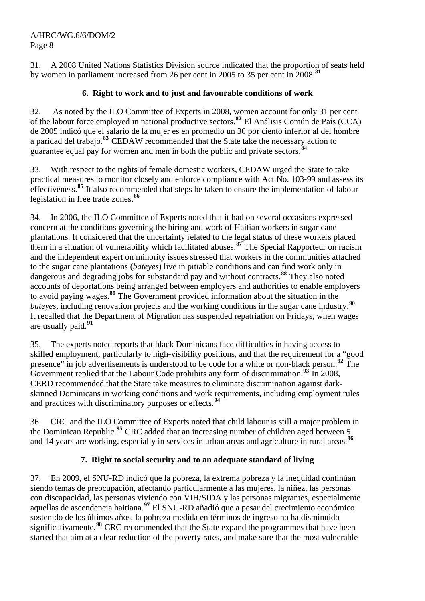31. A 2008 United Nations Statistics Division source indicated that the proportion of seats held by women in parliament increased from 26 per cent in 2005 to 35 per cent in 2008.**[81](#page-16-0)**

# **6. Right to work and to just and favourable conditions of work**

32. As noted by the ILO Committee of Experts in 2008, women account for only 31 per cent of the labour force employed in national productive sectors.**[82](#page-16-0)** El Análisis Común de País (CCA) de 2005 indicó que el salario de la mujer es en promedio un 30 por ciento inferior al del hombre a paridad del trabajo*.* **[83](#page-16-0)** CEDAW recommended that the State take the necessary action to guarantee equal pay for women and men in both the public and private sectors.**[84](#page-16-0)**

33. With respect to the rights of female domestic workers, CEDAW urged the State to take practical measures to monitor closely and enforce compliance with Act No. 103-99 and assess its effectiveness.<sup>[85](#page-16-0)</sup> It also recommended that steps be taken to ensure the implementation of labour legislation in free trade zones.**[86](#page-16-0)**

34. In 2006, the ILO Committee of Experts noted that it had on several occasions expressed concern at the conditions governing the hiring and work of Haitian workers in sugar cane plantations. It considered that the uncertainty related to the legal status of these workers placed them in a situation of vulnerability which facilitated abuses.**[87](#page-16-0)** The Special Rapporteur on racism and the independent expert on minority issues stressed that workers in the communities attached to the sugar cane plantations (*bateyes*) live in pitiable conditions and can find work only in dangerous and degrading jobs for substandard pay and without contracts.**[88](#page-16-0)** They also noted accounts of deportations being arranged between employers and authorities to enable employers to avoid paying wages.**[89](#page-16-0)** The Government provided information about the situation in the *bateyes,* including renovation projects and the working conditions in the sugar cane industry.**[90](#page-16-0)** It recalled that the Department of Migration has suspended repatriation on Fridays, when wages are usually paid.**[91](#page-16-0)**

35. The experts noted reports that black Dominicans face difficulties in having access to skilled employment, particularly to high-visibility positions, and that the requirement for a "good presence" in job advertisements is understood to be code for a white or non-black person.**[92](#page-16-0)** The Government replied that the Labour Code prohibits any form of discrimination.**[93](#page-16-0)** In 2008, CERD recommended that the State take measures to eliminate discrimination against darkskinned Dominicans in working conditions and work requirements, including employment rules and practices with discriminatory purposes or effects.**[94](#page-16-0)**

36. CRC and the ILO Committee of Experts noted that child labour is still a major problem in the Dominican Republic.**[95](#page-16-0)** CRC added that an increasing number of children aged between 5 and 14 years are working, especially in services in urban areas and agriculture in rural areas.<sup>[96](#page-16-0)</sup>

# **7. Right to social security and to an adequate standard of living**

37. En 2009, el SNU-RD indicó que la pobreza, la extrema pobreza y la inequidad continúan siendo temas de preocupación, afectando particularmente a las mujeres, la niñez, las personas con discapacidad, las personas viviendo con VIH/SIDA y las personas migrantes, especialmente aquellas de ascendencia haitiana.**[97](#page-16-0)** El SNU-RD añadió que a pesar del crecimiento económico sostenido de los últimos años, la pobreza medida en términos de ingreso no ha disminuido significativamente.**[98](#page-16-0)** CRC recommended that the State expand the programmes that have been started that aim at a clear reduction of the poverty rates, and make sure that the most vulnerable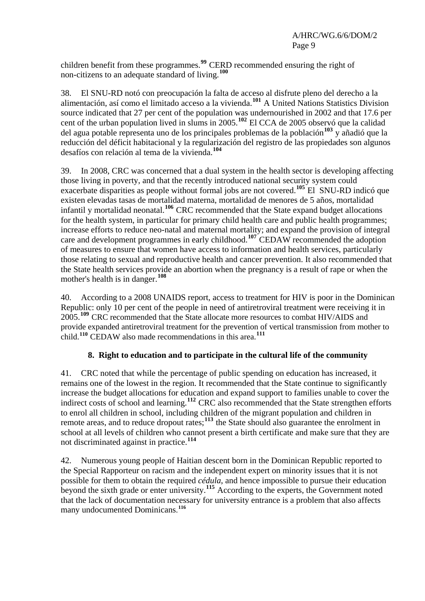children benefit from these programmes.**[99](#page-16-0)** CERD recommended ensuring the right of non-citizens to an adequate standard of living.**[100](#page-16-0)**

38. El SNU-RD notó con preocupación la falta de acceso al disfrute pleno del derecho a la alimentación, así como el limitado acceso a la vivienda.**[101](#page-16-0)** A United Nations Statistics Division source indicated that 27 per cent of the population was undernourished in 2002 and that 17.6 per cent of the urban population lived in slums in 2005.**[102](#page-16-0)** El CCA de 2005 observó que la calidad del agua potable representa uno de los principales problemas de la población**[103](#page-16-0)** y añadió que la reducción del déficit habitacional y la regularización del registro de las propiedades son algunos desafíos con relación al tema de la vivienda.**[104](#page-16-0)**

39. In 2008, CRC was concerned that a dual system in the health sector is developing affecting those living in poverty, and that the recently introduced national security system could exacerbate disparities as people without formal jobs are not covered.**[105](#page-16-0)** El SNU-RD indicó que existen elevadas tasas de mortalidad materna, mortalidad de menores de 5 años, mortalidad infantil y mortalidad neonatal.**[106](#page-16-0)** CRC recommended that the State expand budget allocations for the health system, in particular for primary child health care and public health programmes; increase efforts to reduce neo-natal and maternal mortality; and expand the provision of integral care and development programmes in early childhood.**[107](#page-16-0)** CEDAW recommended the adoption of measures to ensure that women have access to information and health services, particularly those relating to sexual and reproductive health and cancer prevention. It also recommended that the State health services provide an abortion when the pregnancy is a result of rape or when the mother's health is in danger.**[108](#page-16-0)**

40. According to a 2008 UNAIDS report, access to treatment for HIV is poor in the Dominican Republic: only 10 per cent of the people in need of antiretroviral treatment were receiving it in 2005.**[109](#page-16-0)** CRC recommended that the State allocate more resources to combat HIV/AIDS and provide expanded antiretroviral treatment for the prevention of vertical transmission from mother to child.**[110](#page-16-0)** CEDAW also made recommendations in this area.**[111](#page-16-0)**

## **8. Right to education and to participate in the cultural life of the community**

41. CRC noted that while the percentage of public spending on education has increased, it remains one of the lowest in the region. It recommended that the State continue to significantly increase the budget allocations for education and expand support to families unable to cover the indirect costs of school and learning.**[112](#page-16-0)** CRC also recommended that the State strengthen efforts to enrol all children in school, including children of the migrant population and children in remote areas, and to reduce dropout rates;**[113](#page-16-0)** the State should also guarantee the enrolment in school at all levels of children who cannot present a birth certificate and make sure that they are not discriminated against in practice.**[114](#page-16-0)**

42. Numerous young people of Haitian descent born in the Dominican Republic reported to the Special Rapporteur on racism and the independent expert on minority issues that it is not possible for them to obtain the required *cédula*, and hence impossible to pursue their education beyond the sixth grade or enter university.**[115](#page-16-0)** According to the experts, the Government noted that the lack of documentation necessary for university entrance is a problem that also affects many undocumented Dominicans. **[116](#page-16-0)**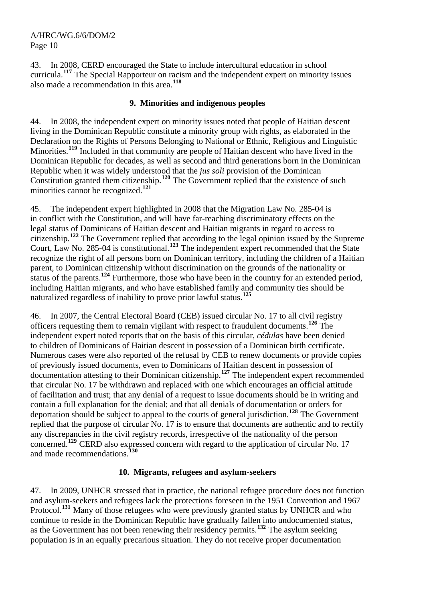43. In 2008, CERD encouraged the State to include intercultural education in school curricula.**[117](#page-16-0)** The Special Rapporteur on racism and the independent expert on minority issues also made a recommendation in this area.**[118](#page-16-0)**

## **9. Minorities and indigenous peoples**

44. In 2008, the independent expert on minority issues noted that people of Haitian descent living in the Dominican Republic constitute a minority group with rights, as elaborated in the Declaration on the Rights of Persons Belonging to National or Ethnic, Religious and Linguistic Minorities.**[119](#page-16-0)** Included in that community are people of Haitian descent who have lived in the Dominican Republic for decades, as well as second and third generations born in the Dominican Republic when it was widely understood that the *jus soli* provision of the Dominican Constitution granted them citizenship.<sup>[120](#page-16-0)</sup> The Government replied that the existence of such minorities cannot be recognized.**[121](#page-16-0)**

45. The independent expert highlighted in 2008 that the Migration Law No. 285-04 is in conflict with the Constitution, and will have far-reaching discriminatory effects on the legal status of Dominicans of Haitian descent and Haitian migrants in regard to access to citizenship.**[122](#page-16-0)** The Government replied that according to the legal opinion issued by the Supreme Court, Law No. 285-04 is constitutional.**[123](#page-16-0)** The independent expert recommended that the State recognize the right of all persons born on Dominican territory, including the children of a Haitian parent, to Dominican citizenship without discrimination on the grounds of the nationality or status of the parents.**[124](#page-16-0)** Furthermore, those who have been in the country for an extended period, including Haitian migrants, and who have established family and community ties should be naturalized regardless of inability to prove prior lawful status.**[125](#page-16-0)**

46. In 2007, the Central Electoral Board (CEB) issued circular No. 17 to all civil registry officers requesting them to remain vigilant with respect to fraudulent documents.**[126](#page-16-0)** The independent expert noted reports that on the basis of this circular, *cédulas* have been denied to children of Dominicans of Haitian descent in possession of a Dominican birth certificate. Numerous cases were also reported of the refusal by CEB to renew documents or provide copies of previously issued documents, even to Dominicans of Haitian descent in possession of documentation attesting to their Dominican citizenship.**[127](#page-16-0)** The independent expert recommended that circular No. 17 be withdrawn and replaced with one which encourages an official attitude of facilitation and trust; that any denial of a request to issue documents should be in writing and contain a full explanation for the denial; and that all denials of documentation or orders for deportation should be subject to appeal to the courts of general jurisdiction.**[128](#page-16-0)** The Government replied that the purpose of circular No. 17 is to ensure that documents are authentic and to rectify any discrepancies in the civil registry records, irrespective of the nationality of the person concerned.<sup>[129](#page-16-0)</sup> CERD also expressed concern with regard to the application of circular No. 17 and made recommendations.**[130](#page-16-0)**

## **10. Migrants, refugees and asylum-seekers**

47. In 2009, UNHCR stressed that in practice, the national refugee procedure does not function and asylum-seekers and refugees lack the protections foreseen in the 1951 Convention and 1967 Protocol.<sup>[131](#page-16-0)</sup> Many of those refugees who were previously granted status by UNHCR and who continue to reside in the Dominican Republic have gradually fallen into undocumented status, as the Government has not been renewing their residency permits.**[132](#page-16-0)** The asylum seeking population is in an equally precarious situation. They do not receive proper documentation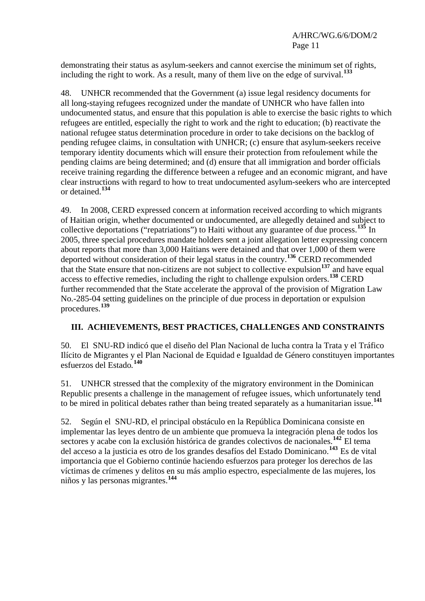demonstrating their status as asylum-seekers and cannot exercise the minimum set of rights, including the right to work. As a result, many of them live on the edge of survival.**[133](#page-16-0)**

48. UNHCR recommended that the Government (a) issue legal residency documents for all long-staying refugees recognized under the mandate of UNHCR who have fallen into undocumented status, and ensure that this population is able to exercise the basic rights to which refugees are entitled, especially the right to work and the right to education; (b) reactivate the national refugee status determination procedure in order to take decisions on the backlog of pending refugee claims, in consultation with UNHCR; (c) ensure that asylum-seekers receive temporary identity documents which will ensure their protection from refoulement while the pending claims are being determined; and (d) ensure that all immigration and border officials receive training regarding the difference between a refugee and an economic migrant, and have clear instructions with regard to how to treat undocumented asylum-seekers who are intercepted or detained.**[134](#page-16-0)**

49. In 2008, CERD expressed concern at information received according to which migrants of Haitian origin, whether documented or undocumented, are allegedly detained and subject to collective deportations ("repatriations") to Haiti without any guarantee of due process.**[135](#page-16-0)** In 2005, three special procedures mandate holders sent a joint allegation letter expressing concern about reports that more than 3,000 Haitians were detained and that over 1,000 of them were deported without consideration of their legal status in the country.**[136](#page-16-0)** CERD recommended that the State ensure that non-citizens are not subject to collective expulsion<sup>[137](#page-16-0)</sup> and have equal access to effective remedies, including the right to challenge expulsion orders.**[138](#page-16-0)** CERD further recommended that the State accelerate the approval of the provision of Migration Law No.-285-04 setting guidelines on the principle of due process in deportation or expulsion procedures.**[139](#page-16-0)**

# **III. ACHIEVEMENTS, BEST PRACTICES, CHALLENGES AND CONSTRAINTS**

50. El SNU-RD indicó que el diseño del Plan Nacional de lucha contra la Trata y el Tráfico Ilícito de Migrantes y el Plan Nacional de Equidad e Igualdad de Género constituyen importantes esfuerzos del Estado*.* **[140](#page-16-0)**

51. UNHCR stressed that the complexity of the migratory environment in the Dominican Republic presents a challenge in the management of refugee issues, which unfortunately tend to be mired in political debates rather than being treated separately as a humanitarian issue.**[141](#page-16-0)**

52. Según el SNU-RD, el principal obstáculo en la República Dominicana consiste en implementar las leyes dentro de un ambiente que promueva la integración plena de todos los sectores y acabe con la exclusión histórica de grandes colectivos de nacionales.**[142](#page-16-0)** El tema del acceso a la justicia es otro de los grandes desafíos del Estado Dominicano.**[143](#page-16-0)** Es de vital importancia que el Gobierno continúe haciendo esfuerzos para proteger los derechos de las víctimas de crímenes y delitos en su más amplio espectro, especialmente de las mujeres, los niños y las personas migrantes.**[144](#page-16-0)**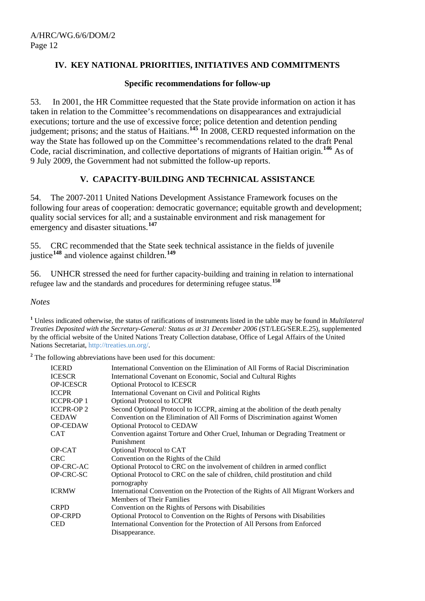## **IV. KEY NATIONAL PRIORITIES, INITIATIVES AND COMMITMENTS**

#### **Specific recommendations for follow-up**

53. In 2001, the HR Committee requested that the State provide information on action it has taken in relation to the Committee's recommendations on disappearances and extrajudicial executions; torture and the use of excessive force; police detention and detention pending judgement; prisons; and the status of Haitians.**[145](#page-16-0)** In 2008, CERD requested information on the way the State has followed up on the Committee's recommendations related to the draft Penal Code, racial discrimination, and collective deportations of migrants of Haitian origin.**[146](#page-16-1)** As of 9 July 2009, the Government had not submitted the follow-up reports.

#### **V. CAPACITY-BUILDING AND TECHNICAL ASSISTANCE**

54. The 2007-2011 United Nations Development Assistance Framework focuses on the following four areas of cooperation: democratic governance; equitable growth and development; quality social services for all; and a sustainable environment and risk management for emergency and disaster situations.**[147](#page-16-2)**

55. CRC recommended that the State seek technical assistance in the fields of juvenile justice**[148](#page-16-3)** and violence against children.**[149](#page-16-4)**

56. UNHCR stressed the need for further capacity-building and training in relation to international refugee law and the standards and procedures for determining refugee status.**[150](#page-16-5)**

*Notes* 

**1** Unless indicated otherwise, the status of ratifications of instruments listed in the table may be found in *Multilateral Treaties Deposited with the Secretary-General: Status as at 31 December 2006* (ST/LEG/SER.E.25), supplemented by the official website of the United Nations Treaty Collection database, Office of Legal Affairs of the United Nations Secretariat, [http://treaties.un.org/.](http://treaties.un.org/)

<sup>2</sup> The following abbreviations have been used for this document:

| <b>ICERD</b><br><b>ICESCR</b><br><b>OP-ICESCR</b> | International Convention on the Elimination of All Forms of Racial Discrimination<br>International Covenant on Economic, Social and Cultural Rights<br><b>Optional Protocol to ICESCR</b> |
|---------------------------------------------------|-------------------------------------------------------------------------------------------------------------------------------------------------------------------------------------------|
| <b>ICCPR</b>                                      | International Covenant on Civil and Political Rights                                                                                                                                      |
| <b>ICCPR-OP1</b>                                  | <b>Optional Protocol to ICCPR</b>                                                                                                                                                         |
| <b>ICCPR-OP2</b>                                  | Second Optional Protocol to ICCPR, aiming at the abolition of the death penalty                                                                                                           |
| <b>CEDAW</b>                                      | Convention on the Elimination of All Forms of Discrimination against Women                                                                                                                |
| <b>OP-CEDAW</b>                                   | <b>Optional Protocol to CEDAW</b>                                                                                                                                                         |
| <b>CAT</b>                                        | Convention against Torture and Other Cruel, Inhuman or Degrading Treatment or                                                                                                             |
|                                                   | Punishment                                                                                                                                                                                |
| OP-CAT                                            | Optional Protocol to CAT                                                                                                                                                                  |
| <b>CRC</b>                                        | Convention on the Rights of the Child                                                                                                                                                     |
| OP-CRC-AC                                         | Optional Protocol to CRC on the involvement of children in armed conflict                                                                                                                 |
| <b>OP-CRC-SC</b>                                  | Optional Protocol to CRC on the sale of children, child prostitution and child<br>pornography                                                                                             |
| <b>ICRMW</b>                                      | International Convention on the Protection of the Rights of All Migrant Workers and<br><b>Members of Their Families</b>                                                                   |
| <b>CRPD</b>                                       | Convention on the Rights of Persons with Disabilities                                                                                                                                     |
| <b>OP-CRPD</b><br><b>CED</b>                      | Optional Protocol to Convention on the Rights of Persons with Disabilities<br>International Convention for the Protection of All Persons from Enforced                                    |
|                                                   | Disappearance.                                                                                                                                                                            |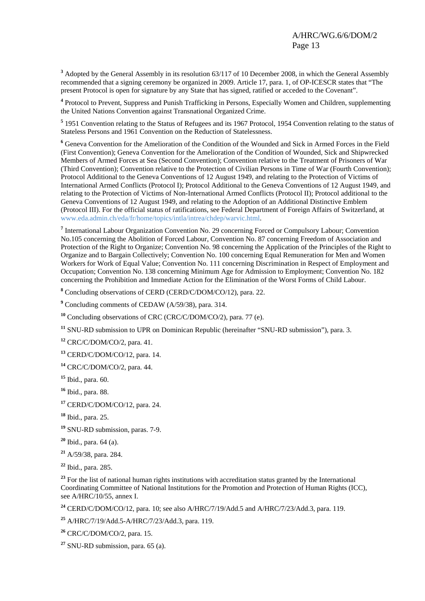**<sup>3</sup>** Adopted by the General Assembly in its resolution 63/117 of 10 December 2008, in which the General Assembly recommended that a signing ceremony be organized in 2009. Article 17, para. 1, of OP-ICESCR states that "The present Protocol is open for signature by any State that has signed, ratified or acceded to the Covenant".

<sup>4</sup> Protocol to Prevent, Suppress and Punish Trafficking in Persons, Especially Women and Children, supplementing the United Nations Convention against Transnational Organized Crime.

<sup>5</sup> 1951 Convention relating to the Status of Refugees and its 1967 Protocol, 1954 Convention relating to the status of Stateless Persons and 1961 Convention on the Reduction of Statelessness.

**6** Geneva Convention for the Amelioration of the Condition of the Wounded and Sick in Armed Forces in the Field (First Convention); Geneva Convention for the Amelioration of the Condition of Wounded, Sick and Shipwrecked Members of Armed Forces at Sea (Second Convention); Convention relative to the Treatment of Prisoners of War (Third Convention); Convention relative to the Protection of Civilian Persons in Time of War (Fourth Convention); Protocol Additional to the Geneva Conventions of 12 August 1949, and relating to the Protection of Victims of International Armed Conflicts (Protocol I); Protocol Additional to the Geneva Conventions of 12 August 1949, and relating to the Protection of Victims of Non-International Armed Conflicts (Protocol II); Protocol additional to the Geneva Conventions of 12 August 1949, and relating to the Adoption of an Additional Distinctive Emblem (Protocol III). For the official status of ratifications, see Federal Department of Foreign Affairs of Switzerland, at [www.eda.admin.ch/eda/fr/home/topics/intla/intrea/chdep/warvic.html.](http://www.eda.admin.ch/eda/fr/home/topics/intla/intrea/chdep/warvic.html)

<sup>7</sup> International Labour Organization Convention No. 29 concerning Forced or Compulsory Labour; Convention No.105 concerning the Abolition of Forced Labour, Convention No. 87 concerning Freedom of Association and Protection of the Right to Organize; Convention No. 98 concerning the Application of the Principles of the Right to Organize and to Bargain Collectively; Convention No. 100 concerning Equal Remuneration for Men and Women Workers for Work of Equal Value; Convention No. 111 concerning Discrimination in Respect of Employment and Occupation; Convention No. 138 concerning Minimum Age for Admission to Employment; Convention No. 182 concerning the Prohibition and Immediate Action for the Elimination of the Worst Forms of Child Labour.

**8** Concluding observations of CERD (CERD/C/DOM/CO/12), para. 22.

<sup>9</sup> Concluding comments of CEDAW (A/59/38), para. 314.

**<sup>10</sup>** Concluding observations of CRC (CRC/C/DOM/CO/2), para. 77 (e).

**<sup>11</sup>** SNU-RD submission to UPR on Dominican Republic (hereinafter "SNU-RD submission"), para. 3.

**<sup>12</sup>** CRC/C/DOM/CO/2, para. 41.

**<sup>13</sup>** CERD/C/DOM/CO/12, para. 14.

**<sup>14</sup>** CRC/C/DOM/CO/2, para. 44.

**<sup>15</sup>** Ibid., para. 60.

**<sup>16</sup>** Ibid., para. 88.

**<sup>17</sup>** CERD/C/DOM/CO/12, para. 24.

**<sup>18</sup>** Ibid., para. 25.

**<sup>19</sup>** SNU-RD submission, paras. 7-9.

**<sup>20</sup>** Ibid., para. 64 (a).

**<sup>21</sup>** A/59/38, para. 284.

**<sup>22</sup>** Ibid., para. 285.

<sup>23</sup> For the list of national human rights institutions with accreditation status granted by the International Coordinating Committee of National Institutions for the Promotion and Protection of Human Rights (ICC), see A/HRC/10/55, annex I.

**<sup>24</sup>** CERD/C/DOM/CO/12, para. 10; see also A/HRC/7/19/Add.5 and A/HRC/7/23/Add.3, para. 119.

**<sup>25</sup>** A/HRC/7/19/Add.5-A/HRC/7/23/Add.3, para. 119.

**<sup>26</sup>** CRC/C/DOM/CO/2, para. 15.

**<sup>27</sup>** SNU-RD submission, para. 65 (a).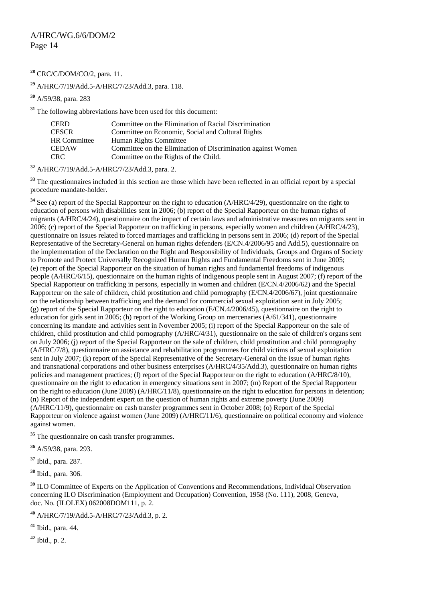<span id="page-13-1"></span>**<sup>28</sup>** CRC/C/DOM/CO/2, para. 11.

**<sup>29</sup>** A/HRC/7/19/Add.5-A/HRC/7/23/Add.3, para. 118.

**<sup>30</sup>** A/59/38, para. 283

**<sup>31</sup>** The following abbreviations have been used for this document:

| CERD         | Committee on the Elimination of Racial Discrimination        |
|--------------|--------------------------------------------------------------|
| CESCR        | Committee on Economic, Social and Cultural Rights            |
| HR Committee | Human Rights Committee                                       |
| CEDAW        | Committee on the Elimination of Discrimination against Women |
| CRC-         | Committee on the Rights of the Child.                        |

**<sup>32</sup>** A/HRC/7/19/Add.5-A/HRC/7/23/Add.3, para. 2.

<sup>33</sup> The questionnaires included in this section are those which have been reflected in an official report by a special procedure mandate-holder.

**<sup>34</sup>** See (a) report of the Special Rapporteur on the right to education (A/HRC/4/29), questionnaire on the right to education of persons with disabilities sent in 2006; (b) report of the Special Rapporteur on the human rights of migrants (A/HRC/4/24), questionnaire on the impact of certain laws and administrative measures on migrants sent in 2006; (c) report of the Special Rapporteur on trafficking in persons, especially women and children (A/HRC/4/23), questionnaire on issues related to forced marriages and trafficking in persons sent in 2006; (d) report of the Special Representative of the Secretary-General on human rights defenders (E/CN.4/2006/95 and Add.5), questionnaire on the implementation of the Declaration on the Right and Responsibility of Individuals, Groups and Organs of Society to Promote and Protect Universally Recognized Human Rights and Fundamental Freedoms sent in June 2005; (e) report of the Special Rapporteur on the situation of human rights and fundamental freedoms of indigenous people (A/HRC/6/15), questionnaire on the human rights of indigenous people sent in August 2007; (f) report of the Special Rapporteur on trafficking in persons, especially in women and children (E/CN.4/2006/62) and the Special Rapporteur on the sale of children, child prostitution and child pornography (E/CN.4/2006/67), joint questionnaire on the relationship between trafficking and the demand for commercial sexual exploitation sent in July 2005; (g) report of the Special Rapporteur on the right to education (E/CN.4/2006/45), questionnaire on the right to education for girls sent in 2005; (h) report of the Working Group on mercenaries (A/61/341), questionnaire concerning its mandate and activities sent in November 2005; (i) report of the Special Rapporteur on the sale of children, child prostitution and child pornography (A/HRC/4/31), questionnaire on the sale of children's organs sent on July 2006; (j) report of the Special Rapporteur on the sale of children, child prostitution and child pornography (A/HRC/7/8), questionnaire on assistance and rehabilitation programmes for child victims of sexual exploitation sent in July 2007; (k) report of the Special Representative of the Secretary-General on the issue of human rights and transnational corporations and other business enterprises (A/HRC/4/35/Add.3), questionnaire on human rights policies and management practices; (l) report of the Special Rapporteur on the right to education (A/HRC/8/10), questionnaire on the right to education in emergency situations sent in 2007; (m) Report of the Special Rapporteur on the right to education (June 2009) (A/HRC/11/8), questionnaire on the right to education for persons in detention; (n) Report of the independent expert on the question of human rights and extreme poverty (June 2009) (A/HRC/11/9), questionnaire on cash transfer programmes sent in October 2008; (o) Report of the Special Rapporteur on violence against women (June 2009) (A/HRC/11/6), questionnaire on political economy and violence against women.

<span id="page-13-0"></span><sup>35</sup> The questionnaire on cash transfer programmes.

**<sup>36</sup>** A/59/38, para. 293.

**<sup>37</sup>** Ibid., para. 287.

**<sup>38</sup>** Ibid., para. 306.

<sup>39</sup> ILO Committee of Experts on the Application of Conventions and Recommendations, Individual Observation concerning ILO Discrimination (Employment and Occupation) Convention, 1958 (No. 111), 2008, Geneva, doc. No. (ILOLEX) 062008DOM111, p. 2.

**<sup>40</sup>** A/HRC/7/19/Add.5-A/HRC/7/23/Add.3, p. 2.

**<sup>41</sup>** Ibid., para. 44.

**<sup>42</sup>** Ibid., p. 2.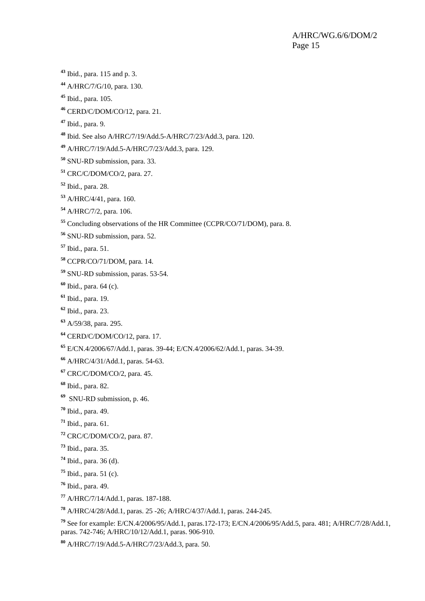<span id="page-14-0"></span>Ibid., para. 115 and p. 3.

A/HRC/7/G/10, para. 130.

Ibid., para. 105.

CERD/C/DOM/CO/12, para. 21.

Ibid., para. 9.

Ibid. See also A/HRC/7/19/Add.5-A/HRC/7/23/Add.3, para. 120.

A/HRC/7/19/Add.5-A/HRC/7/23/Add.3, para. 129.

SNU-RD submission, para. 33.

CRC/C/DOM/CO/2, para. 27.

Ibid., para. 28.

A/HRC/4/41, para. 160.

A/HRC/7/2, para. 106.

Concluding observations of the HR Committee (CCPR/CO/71/DOM), para. 8.

SNU-RD submission, para. 52.

Ibid., para. 51.

CCPR/CO/71/DOM, para. 14.

SNU-RD submission, paras. 53-54.

Ibid., para. 64 (c).

Ibid., para. 19.

Ibid., para. 23.

A/59/38, para. 295.

CERD/C/DOM/CO/12, para. 17.

E/CN.4/2006/67/Add.1, paras. 39-44; E/CN.4/2006/62/Add.1, paras. 34-39.

A/HRC/4/31/Add.1, paras. 54-63.

CRC/C/DOM/CO/2, para. 45.

Ibid., para. 82.

SNU-RD submission, p. 46.

Ibid., para. 49.

Ibid., para. 61.

CRC/C/DOM/CO/2, para. 87.

Ibid., para. 35.

Ibid., para. 36 (d).

Ibid., para. 51 (c).

Ibid., para. 49.

A/HRC/7/14/Add.1, paras. 187-188.

A/HRC/4/28/Add.1, paras. 25 -26; A/HRC/4/37/Add.1, paras. 244-245.

 See for example: E/CN.4/2006/95/Add.1, paras.172-173; E/CN.4/2006/95/Add.5, para. 481; A/HRC/7/28/Add.1, paras. 742-746; A/HRC/10/12/Add.1, paras. 906-910.

A/HRC/7/19/Add.5-A/HRC/7/23/Add.3, para. 50.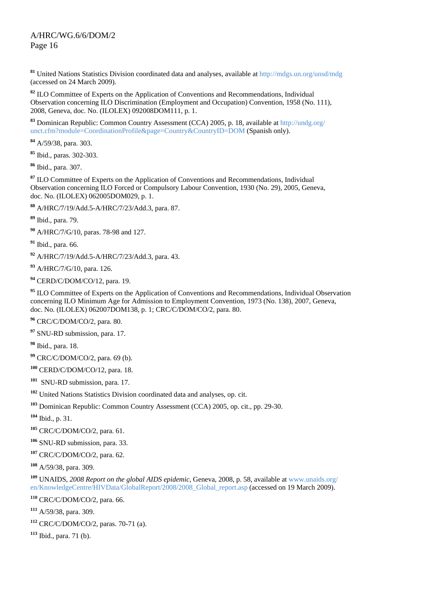<span id="page-15-0"></span> United Nations Statistics Division coordinated data and analyses, available at<http://mdgs.un.org/unsd/mdg> (accessed on 24 March 2009).

 ILO Committee of Experts on the Application of Conventions and Recommendations, Individual Observation concerning ILO Discrimination (Employment and Occupation) Convention, 1958 (No. 111), 2008, Geneva, doc. No. (ILOLEX) 092008DOM111, p. 1.

 Dominican Republic: Common Country Assessment (CCA) 2005, p. 18, available at <http://undg.org/> unct.cfm?module=CoordinationProfile&page=Country&CountryID=DOM (Spanish only).

A/59/38, para. 303.

Ibid., paras. 302-303.

Ibid., para. 307.

 ILO Committee of Experts on the Application of Conventions and Recommendations, Individual Observation concerning ILO Forced or Compulsory Labour Convention, 1930 (No. 29), 2005, Geneva, doc. No. (ILOLEX) 062005DOM029, p. 1.

A/HRC/7/19/Add.5-A/HRC/7/23/Add.3, para. 87.

Ibid., para. 79.

A/HRC/7/G/10, paras. 78-98 and 127.

Ibid., para. 66.

A/HRC/7/19/Add.5-A/HRC/7/23/Add.3, para. 43.

A/HRC/7/G/10, para. 126.

CERD/C/DOM/CO/12, para. 19.

<sup>95</sup> ILO Committee of Experts on the Application of Conventions and Recommendations, Individual Observation concerning ILO Minimum Age for Admission to Employment Convention, 1973 (No. 138), 2007, Geneva, doc. No. (ILOLEX) 062007DOM138, p. 1; CRC/C/DOM/CO/2, para. 80.

CRC/C/DOM/CO/2, para. 80.

SNU-RD submission, para. 17.

Ibid., para. 18.

CRC/C/DOM/CO/2, para. 69 (b).

CERD/C/DOM/CO/12, para. 18.

SNU-RD submission, para. 17.

United Nations Statistics Division coordinated data and analyses, op. cit.

Dominican Republic: Common Country Assessment (CCA) 2005, op. cit., pp. 29-30.

Ibid., p. 31.

CRC/C/DOM/CO/2, para. 61.

SNU-RD submission, para. 33.

CRC/C/DOM/CO/2, para. 62.

A/59/38, para. 309.

 UNAIDS, *2008 Report on the global AIDS epidemic*, Geneva, 2008, p. 58, available at [www.unaids.org/](http://www.unaids.org/%20en/KnowledgeCentre/HIVData/GlobalReport/2008/2008_Global_report.asp)  [en/KnowledgeCentre/HIVData/GlobalReport/2008/2008\\_Global\\_report.asp](http://www.unaids.org/%20en/KnowledgeCentre/HIVData/GlobalReport/2008/2008_Global_report.asp) (accessed on 19 March 2009).

CRC/C/DOM/CO/2, para. 66.

A/59/38, para. 309.

CRC/C/DOM/CO/2, paras. 70-71 (a).

Ibid., para. 71 (b).